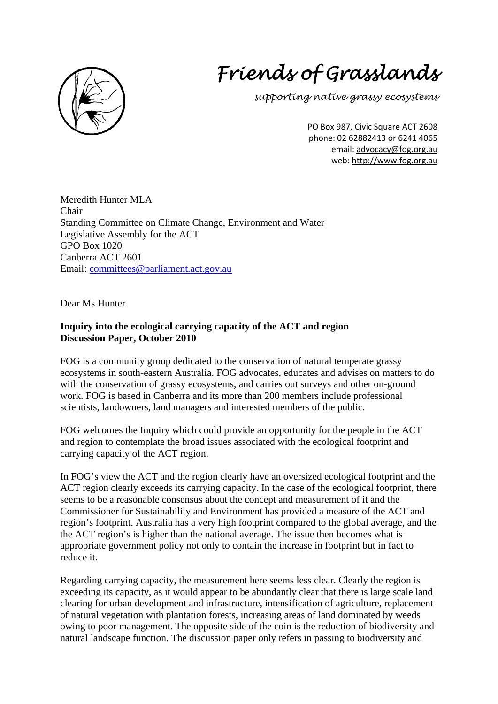

## *Friends of Grasslands*

*supporting native grassy ecosystems* 

PO Box 987, Civic Square ACT 2608 phone: 02 62882413 or 6241 4065 email: advocacy@fog.org.au web: http://www.fog.org.au

Meredith Hunter MLA Chair Standing Committee on Climate Change, Environment and Water Legislative Assembly for the ACT GPO Box 1020 Canberra ACT 2601 Email: [committees@parliament.act.gov.au](mailto:committees@parliament.act.gov.au)

Dear Ms Hunter

## **Inquiry into the ecological carrying capacity of the ACT and region Discussion Paper, October 2010**

FOG is a community group dedicated to the conservation of natural temperate grassy ecosystems in south-eastern Australia. FOG advocates, educates and advises on matters to do with the conservation of grassy ecosystems, and carries out surveys and other on-ground work. FOG is based in Canberra and its more than 200 members include professional scientists, landowners, land managers and interested members of the public.

FOG welcomes the Inquiry which could provide an opportunity for the people in the ACT and region to contemplate the broad issues associated with the ecological footprint and carrying capacity of the ACT region.

In FOG's view the ACT and the region clearly have an oversized ecological footprint and the ACT region clearly exceeds its carrying capacity. In the case of the ecological footprint, there seems to be a reasonable consensus about the concept and measurement of it and the Commissioner for Sustainability and Environment has provided a measure of the ACT and region's footprint. Australia has a very high footprint compared to the global average, and the the ACT region's is higher than the national average. The issue then becomes what is appropriate government policy not only to contain the increase in footprint but in fact to reduce it.

Regarding carrying capacity, the measurement here seems less clear. Clearly the region is exceeding its capacity, as it would appear to be abundantly clear that there is large scale land clearing for urban development and infrastructure, intensification of agriculture, replacement of natural vegetation with plantation forests, increasing areas of land dominated by weeds owing to poor management. The opposite side of the coin is the reduction of biodiversity and natural landscape function. The discussion paper only refers in passing to biodiversity and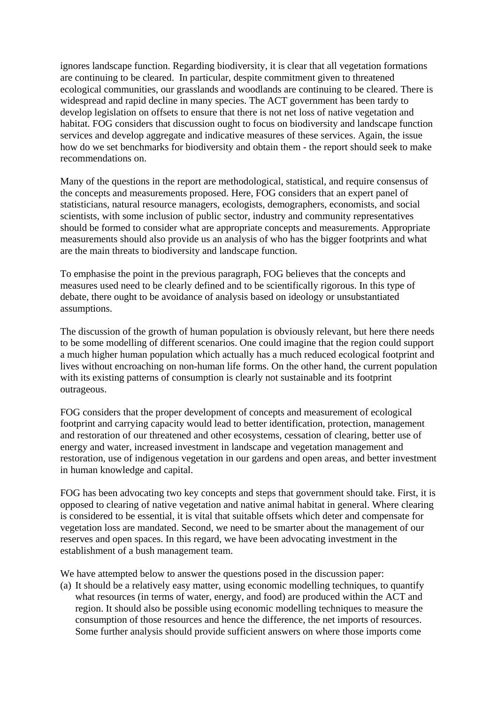ignores landscape function. Regarding biodiversity, it is clear that all vegetation formations are continuing to be cleared. In particular, despite commitment given to threatened ecological communities, our grasslands and woodlands are continuing to be cleared. There is widespread and rapid decline in many species. The ACT government has been tardy to develop legislation on offsets to ensure that there is not net loss of native vegetation and habitat. FOG considers that discussion ought to focus on biodiversity and landscape function services and develop aggregate and indicative measures of these services. Again, the issue how do we set benchmarks for biodiversity and obtain them - the report should seek to make recommendations on.

Many of the questions in the report are methodological, statistical, and require consensus of the concepts and measurements proposed. Here, FOG considers that an expert panel of statisticians, natural resource managers, ecologists, demographers, economists, and social scientists, with some inclusion of public sector, industry and community representatives should be formed to consider what are appropriate concepts and measurements. Appropriate measurements should also provide us an analysis of who has the bigger footprints and what are the main threats to biodiversity and landscape function.

To emphasise the point in the previous paragraph, FOG believes that the concepts and measures used need to be clearly defined and to be scientifically rigorous. In this type of debate, there ought to be avoidance of analysis based on ideology or unsubstantiated assumptions.

The discussion of the growth of human population is obviously relevant, but here there needs to be some modelling of different scenarios. One could imagine that the region could support a much higher human population which actually has a much reduced ecological footprint and lives without encroaching on non-human life forms. On the other hand, the current population with its existing patterns of consumption is clearly not sustainable and its footprint outrageous.

FOG considers that the proper development of concepts and measurement of ecological footprint and carrying capacity would lead to better identification, protection, management and restoration of our threatened and other ecosystems, cessation of clearing, better use of energy and water, increased investment in landscape and vegetation management and restoration, use of indigenous vegetation in our gardens and open areas, and better investment in human knowledge and capital.

FOG has been advocating two key concepts and steps that government should take. First, it is opposed to clearing of native vegetation and native animal habitat in general. Where clearing is considered to be essential, it is vital that suitable offsets which deter and compensate for vegetation loss are mandated. Second, we need to be smarter about the management of our reserves and open spaces. In this regard, we have been advocating investment in the establishment of a bush management team.

We have attempted below to answer the questions posed in the discussion paper:

(a) It should be a relatively easy matter, using economic modelling techniques, to quantify what resources (in terms of water, energy, and food) are produced within the ACT and region. It should also be possible using economic modelling techniques to measure the consumption of those resources and hence the difference, the net imports of resources. Some further analysis should provide sufficient answers on where those imports come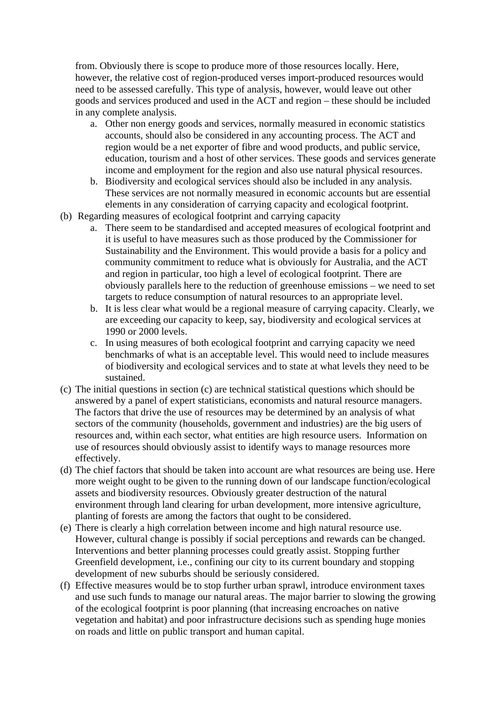from. Obviously there is scope to produce more of those resources locally. Here, however, the relative cost of region-produced verses import-produced resources would need to be assessed carefully. This type of analysis, however, would leave out other goods and services produced and used in the ACT and region – these should be included in any complete analysis.

- a. Other non energy goods and services, normally measured in economic statistics accounts, should also be considered in any accounting process. The ACT and region would be a net exporter of fibre and wood products, and public service, education, tourism and a host of other services. These goods and services generate income and employment for the region and also use natural physical resources.
- b. Biodiversity and ecological services should also be included in any analysis. These services are not normally measured in economic accounts but are essential elements in any consideration of carrying capacity and ecological footprint.
- (b) Regarding measures of ecological footprint and carrying capacity
	- a. There seem to be standardised and accepted measures of ecological footprint and it is useful to have measures such as those produced by the Commissioner for Sustainability and the Environment. This would provide a basis for a policy and community commitment to reduce what is obviously for Australia, and the ACT and region in particular, too high a level of ecological footprint. There are obviously parallels here to the reduction of greenhouse emissions – we need to set targets to reduce consumption of natural resources to an appropriate level.
	- b. It is less clear what would be a regional measure of carrying capacity. Clearly, we are exceeding our capacity to keep, say, biodiversity and ecological services at 1990 or 2000 levels.
	- c. In using measures of both ecological footprint and carrying capacity we need benchmarks of what is an acceptable level. This would need to include measures of biodiversity and ecological services and to state at what levels they need to be sustained.
- (c) The initial questions in section (c) are technical statistical questions which should be answered by a panel of expert statisticians, economists and natural resource managers. The factors that drive the use of resources may be determined by an analysis of what sectors of the community (households, government and industries) are the big users of resources and, within each sector, what entities are high resource users. Information on use of resources should obviously assist to identify ways to manage resources more effectively.
- (d) The chief factors that should be taken into account are what resources are being use. Here more weight ought to be given to the running down of our landscape function/ecological assets and biodiversity resources. Obviously greater destruction of the natural environment through land clearing for urban development, more intensive agriculture, planting of forests are among the factors that ought to be considered.
- (e) There is clearly a high correlation between income and high natural resource use. However, cultural change is possibly if social perceptions and rewards can be changed. Interventions and better planning processes could greatly assist. Stopping further Greenfield development, i.e., confining our city to its current boundary and stopping development of new suburbs should be seriously considered.
- (f) Effective measures would be to stop further urban sprawl, introduce environment taxes and use such funds to manage our natural areas. The major barrier to slowing the growing of the ecological footprint is poor planning (that increasing encroaches on native vegetation and habitat) and poor infrastructure decisions such as spending huge monies on roads and little on public transport and human capital.